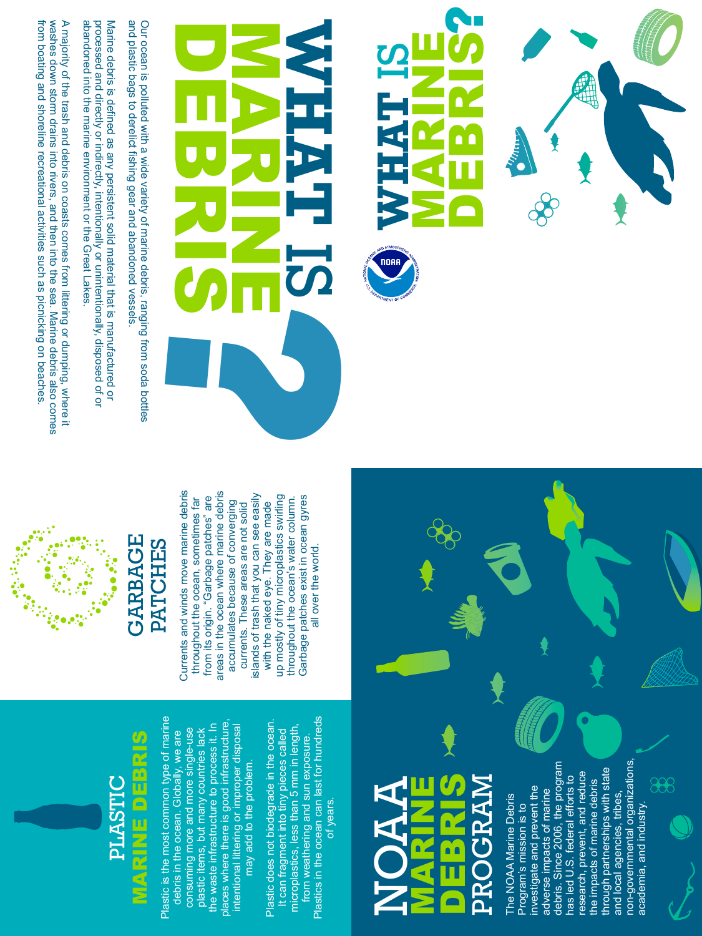from boating and shoreline recreational activities such as picnicking on beaches washes down storm drains into rivers, and then into the sea. Marine debris also comes from boating and shoreline recreational activities such as picnicking on beaches. washes down storm drains into rivers, and then into the sea. Marine debris also comes A majority of the trash and debris on coasts comes from littering or dumping, where it abandoned into the marine environment or the Great Lakes. processed and directly or indirectly, intentionally or unintentionally, disposed of or Marine debris is defined as any persistent solid material that is manufactured or abandoned into the marine environment or the Great Lakes. processed and directly or indirectly, intentionally or unintentionally, disposed of or Marine debris is defined as any persistent solid material that is manufactured or

A majority of the trash and debris on coasts comes from littering or dumping, where it



and plastic bags to derelict fishing gear and abandoned vessels. Our ocean is polluted with a wide variety of marine debris, ranging from soda bottles and plastic bags to derelict fishing gear and abandoned vessels. Our ocean is polluted with a wide variety of marine debris, ranging from soda bottles

DEBRIS

## MARINE O<br>DEBRIS PROGRAM NOAAA MRART  ${\tt PR}$

# GARBAGE PATCHES **GARBAGE PATCHES**



non-governmental organizations, debris. Since 2006, the program non-governmental organizations, debris. Since 2006, the program through partnerships with state through partnerships with state research, prevent, and reduce research, prevent, and reduce<br>the impacts of marine debris has led U.S. federal efforts to has led U.S. federal efforts to 888 the impacts of marine debris investigate and prevent the investigate and prevent the adverse impacts of marine adverse impacts of marine and local agencies, tribes, and local agencies, tribes, The NOAA Marine Debris The NOAA Marine Debris Program's mission is to Program's mission is to academia, and industry. academia, and industry.



Currents and winds move marine debris areas in the ocean where marine debris Currents and winds move marine debris areas in the ocean where marine debris islands of trash that you can see easily up mostly of tiny microplastics swirling Garbage patches exist in ocean gyres islands of trash that you can see easily from its origin. "Garbage patches" are throughout the ocean's water column. up mostly of tiny microplastics swirling Garbage patches exist in ocean gyres throughout the ocean, sometimes far from its origin. "Garbage patches" are throughout the ocean's water column. throughout the ocean, sometimes far accumulates because of converging accumulates because of converging with the naked eye. They are made currents. These areas are not solid with the naked eye. They are made currents. These areas are not solid all over the world.



Plastic is the most common type of marine Plastic is the most common type of marine<br>debris in the ocean. Globally, we are places where there is good infrastructure, plastic items, but many countries lack<br>the waste infrastructure to process it. In<br>places where there is good infrastructure,<br>intentional littering or improper disposal the waste infrastructure to process it. In intentional littering or improper disposal consuming more and more single-use plastic items, but many countries lack consuming more and more single-use debris in the ocean. Globally, we are may add to the problem.

Plastics in the ocean can last for hundreds Plastic does not biodegrade in the ocean. Plastics in the ocean can last for hundreds Plastic does not biodegrade in the ocean. microplastics, less than 5 mm in length, It can fragment into tiny pieces called<br>microplastics, less than 5 mm in length, It can fragment into tiny pieces called from weathering and sun exposure. from weathering and sun exposure. of years.